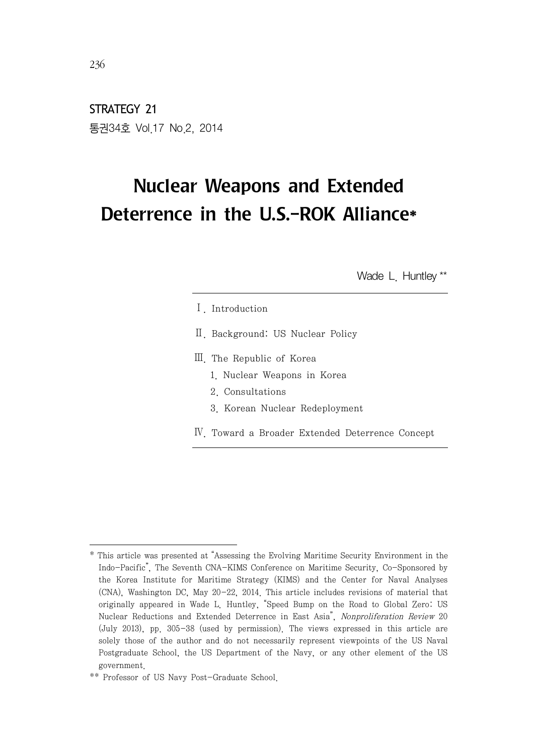STRATEGY 21 통권34호 Vol.17 No.2, 2014

# Nuclear Weapons and Extended Deterrence in the U.S.-ROK Alliance\*

Wade L. Huntley \*\*

- Ⅰ. Introduction
- Ⅱ. Background: US Nuclear Policy
- Ⅲ. The Republic of Korea
	- 1. Nuclear Weapons in Korea
	- 2. Consultations
	- 3. Korean Nuclear Redeployment
- Ⅳ. Toward a Broader Extended Deterrence Concept

 $236$ 

<sup>\*</sup> This article was presented at "Assessing the Evolving Maritime Security Environment in the Indo-Pacific", The Seventh CNA-KIMS Conference on Maritime Security, Co-Sponsored by the Korea Institute for Maritime Strategy (KIMS) and the Center for Naval Analyses (CNA), Washington DC, May 20-22, 2014. This article includes revisions of material that originally appeared in Wade L. Huntley, "Speed Bump on the Road to Global Zero: US Nuclear Reductions and Extended Deterrence in East Asia", Nonproliferation Review 20 (July 2013), pp. 305-38 (used by permission). The views expressed in this article are solely those of the author and do not necessarily represent viewpoints of the US Naval Postgraduate School, the US Department of the Navy, or any other element of the US government.

<sup>\*\*</sup> Professor of US Navy Post-Graduate School.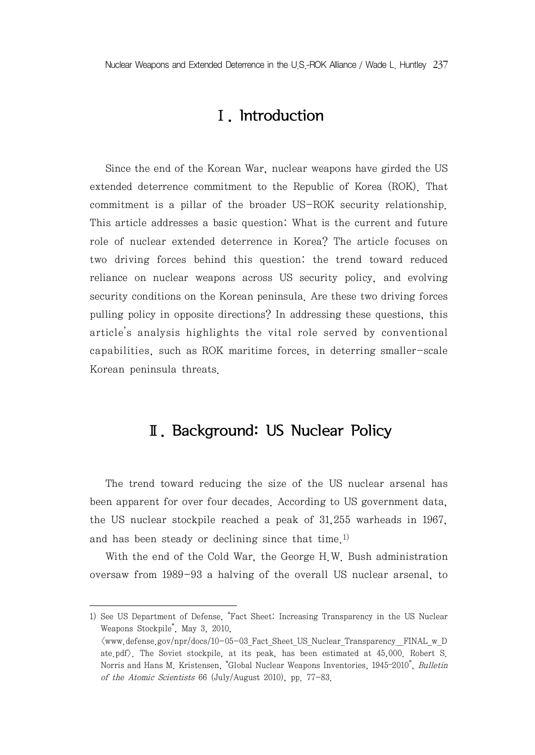Nuclear Weapons and Extended Deterrence in the U.S.-ROK Alliance / Wade L. Huntley 237

## Ⅰ. Introduction

Since the end of the Korean War, nuclear weapons have girded the US extended deterrence commitment to the Republic of Korea (ROK). That commitment is a pillar of the broader US-ROK security relationship. This article addresses a basic question: What is the current and future role of nuclear extended deterrence in Korea? The article focuses on two driving forces behind this question: the trend toward reduced reliance on nuclear weapons across US security policy, and evolving security conditions on the Korean peninsula. Are these two driving forces pulling policy in opposite directions? In addressing these questions, this article's analysis highlights the vital role served by conventional capabilities, such as ROK maritime forces, in deterring smaller-scale Korean peninsula threats.

## Ⅱ. Background: US Nuclear Policy

The trend toward reducing the size of the US nuclear arsenal has been apparent for over four decades. According to US government data, the US nuclear stockpile reached a peak of 31,255 warheads in 1967, and has been steady or declining since that time. 1)

With the end of the Cold War, the George H.W. Bush administration oversaw from 1989-93 a halving of the overall US nuclear arsenal, to

<sup>1)</sup> See US Department of Defense, "Fact Sheet: Increasing Transparency in the US Nuclear Weapons Stockpile", May 3, 2010,

 $\langle$ www.defense.gov/npr/docs/10-05-03 Fact Sheet US Nuclear Transparency FINAL w D ate.pdf>. The Soviet stockpile, at its peak, has been estimated at 45,000. Robert S. Norris and Hans M. Kristensen, "Global Nuclear Weapons Inventories, 1945–2010", Bulletin of the Atomic Scientists 66 (July/August 2010), pp. 77-83.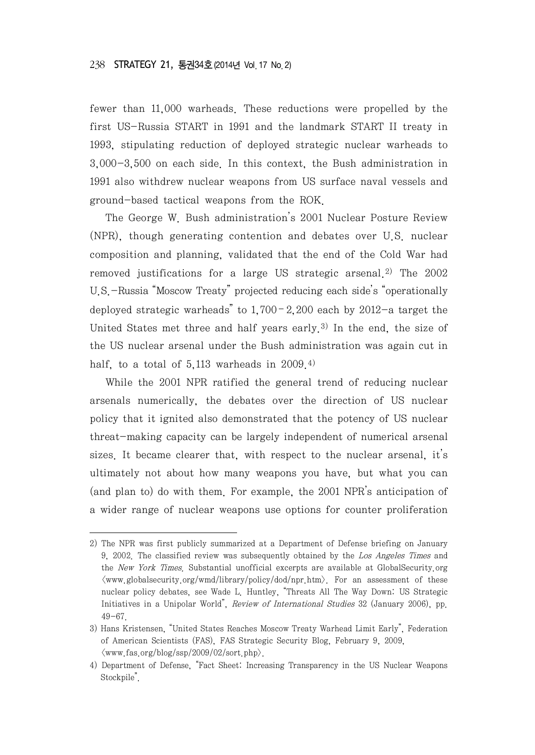fewer than 11,000 warheads. These reductions were propelled by the first US-Russia START in 1991 and the landmark START II treaty in 1993, stipulating reduction of deployed strategic nuclear warheads to 3,000-3,500 on each side. In this context, the Bush administration in 1991 also withdrew nuclear weapons from US surface naval vessels and ground-based tactical weapons from the ROK.

The George W. Bush administration's 2001 Nuclear Posture Review (NPR), though generating contention and debates over U.S. nuclear composition and planning, validated that the end of the Cold War had removed justifications for a large US strategic arsenal. 2) The 2002 U.S.-Russia "Moscow Treaty" projected reducing each side's "operationally deployed strategic warheads" to  $1,700 - 2,200$  each by  $2012 - a$  target the United States met three and half years early. 3) In the end, the size of the US nuclear arsenal under the Bush administration was again cut in half, to a total of  $5.113$  warheads in  $2009<sup>4</sup>$ 

While the 2001 NPR ratified the general trend of reducing nuclear arsenals numerically, the debates over the direction of US nuclear policy that it ignited also demonstrated that the potency of US nuclear threat-making capacity can be largely independent of numerical arsenal sizes. It became clearer that, with respect to the nuclear arsenal, it's ultimately not about how many weapons you have, but what you can (and plan to) do with them. For example, the 2001 NPR's anticipation of a wider range of nuclear weapons use options for counter proliferation

<sup>2)</sup> The NPR was first publicly summarized at a Department of Defense briefing on January 9, 2002. The classified review was subsequently obtained by the Los Angeles Times and the New York Times. Substantial unofficial excerpts are available at GlobalSecurity.org  $\langle$ www.globalsecurity.org/wmd/library/policy/dod/npr.htm $\rangle$ . For an assessment of these nuclear policy debates, see Wade L. Huntley, "Threats All The Way Down: US Strategic Initiatives in a Unipolar World", Review of International Studies 32 (January 2006), pp. 49-67.

<sup>3)</sup> Hans Kristensen, "United States Reaches Moscow Treaty Warhead Limit Early", Federation of American Scientists (FAS), FAS Strategic Security Blog, February 9, 2009,  $\langle$ www.fas.org/blog/ssp/2009/02/sort.php $\rangle$ .

<sup>4)</sup> Department of Defense, "Fact Sheet: Increasing Transparency in the US Nuclear Weapons Stockpile".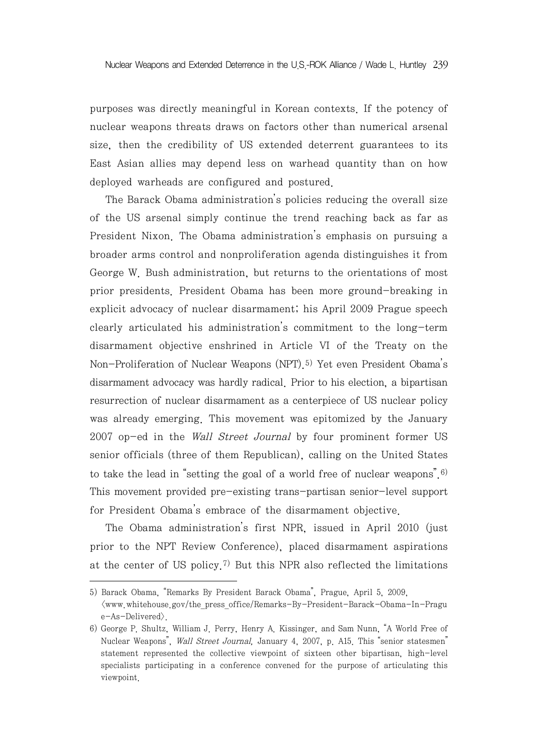purposes was directly meaningful in Korean contexts. If the potency of nuclear weapons threats draws on factors other than numerical arsenal size, then the credibility of US extended deterrent guarantees to its East Asian allies may depend less on warhead quantity than on how deployed warheads are configured and postured.

The Barack Obama administration's policies reducing the overall size of the US arsenal simply continue the trend reaching back as far as President Nixon. The Obama administration's emphasis on pursuing a broader arms control and nonproliferation agenda distinguishes it from George W. Bush administration, but returns to the orientations of most prior presidents. President Obama has been more ground-breaking in explicit advocacy of nuclear disarmament; his April 2009 Prague speech clearly articulated his administration's commitment to the long-term disarmament objective enshrined in Article VI of the Treaty on the Non-Proliferation of Nuclear Weapons (NPT). 5) Yet even President Obama's disarmament advocacy was hardly radical. Prior to his election, a bipartisan resurrection of nuclear disarmament as a centerpiece of US nuclear policy was already emerging. This movement was epitomized by the January 2007 op-ed in the Wall Street Journal by four prominent former US senior officials (three of them Republican), calling on the United States to take the lead in "setting the goal of a world free of nuclear weapons".  $6$ ) This movement provided pre-existing trans-partisan senior-level support for President Obama's embrace of the disarmament objective.

The Obama administration's first NPR, issued in April 2010 (just prior to the NPT Review Conference), placed disarmament aspirations at the center of US policy.<sup>7)</sup> But this NPR also reflected the limitations

<sup>5)</sup> Barack Obama, "Remarks By President Barack Obama", Prague, April 5, 2009, <www.whitehouse.gov/the\_press\_office/Remarks-By-President-Barack-Obama-In-Pragu e-As-Delivered>.

<sup>6)</sup> George P. Shultz, William J. Perry, Henry A. Kissinger, and Sam Nunn, "A World Free of Nuclear Weapons", Wall Street Journal, January 4, 2007, p. A15. This "senior statesmen" statement represented the collective viewpoint of sixteen other bipartisan, high-level specialists participating in a conference convened for the purpose of articulating this viewpoint.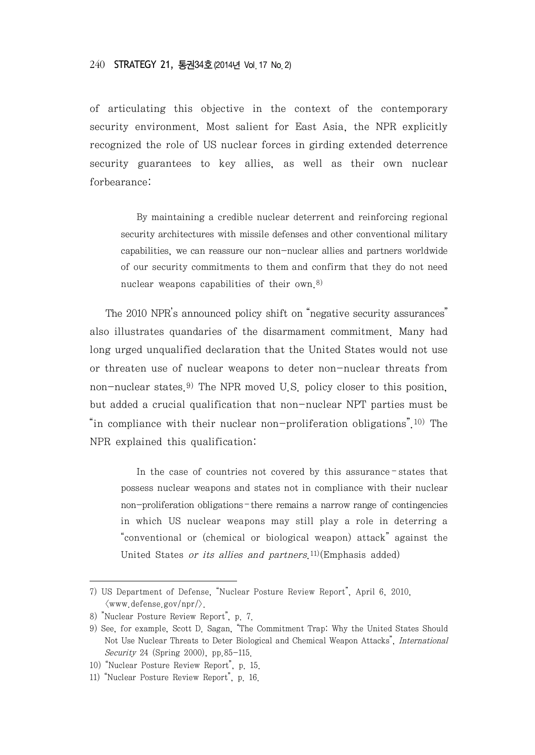of articulating this objective in the context of the contemporary security environment. Most salient for East Asia, the NPR explicitly recognized the role of US nuclear forces in girding extended deterrence security guarantees to key allies, as well as their own nuclear forbearance:

By maintaining a credible nuclear deterrent and reinforcing regional security architectures with missile defenses and other conventional military capabilities, we can reassure our non-nuclear allies and partners worldwide of our security commitments to them and confirm that they do not need nuclear weapons capabilities of their own. 8)

The 2010 NPR's announced policy shift on "negative security assurances" also illustrates quandaries of the disarmament commitment. Many had long urged unqualified declaration that the United States would not use or threaten use of nuclear weapons to deter non-nuclear threats from non-nuclear states.<sup>9)</sup> The NPR moved U.S. policy closer to this position, but added a crucial qualification that non-nuclear NPT parties must be "in compliance with their nuclear non-proliferation obligations".<sup>10)</sup> The NPR explained this qualification:

In the case of countries not covered by this assurance – states that possess nuclear weapons and states not in compliance with their nuclear non-proliferation obligations – there remains a narrow range of contingencies in which US nuclear weapons may still play a role in deterring a "conventional or (chemical or biological weapon) attack" against the United States or its allies and partners.<sup>11)</sup>(Emphasis added)

<sup>7)</sup> US Department of Defense, "Nuclear Posture Review Report", April 6, 2010,  $\langle$ www.defense.gov/npr/ $\rangle$ .

<sup>8)</sup> "Nuclear Posture Review Report", p. 7.

<sup>9)</sup> See, for example, Scott D. Sagan, "The Commitment Trap: Why the United States Should Not Use Nuclear Threats to Deter Biological and Chemical Weapon Attacks", International Security 24 (Spring 2000), pp.85-115.

<sup>10)</sup> "Nuclear Posture Review Report", p. 15.

<sup>11)</sup> "Nuclear Posture Review Report", p. 16.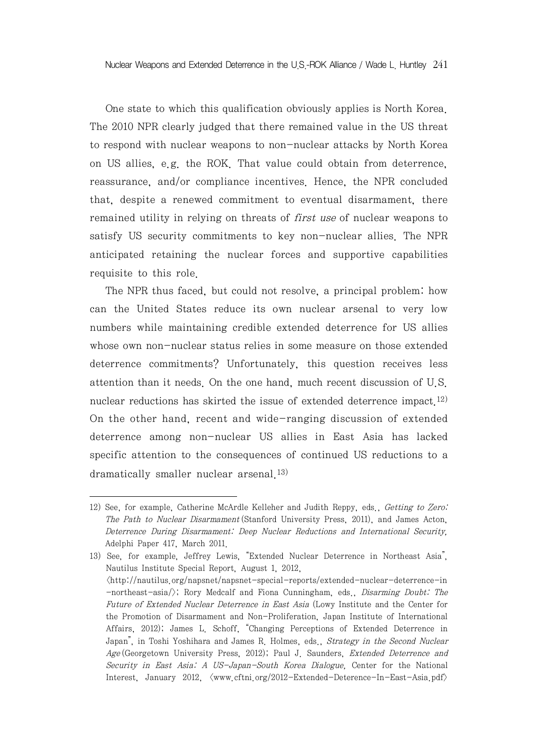One state to which this qualification obviously applies is North Korea. The 2010 NPR clearly judged that there remained value in the US threat to respond with nuclear weapons to non-nuclear attacks by North Korea on US allies, e.g. the ROK. That value could obtain from deterrence, reassurance, and/or compliance incentives. Hence, the NPR concluded that, despite a renewed commitment to eventual disarmament, there remained utility in relying on threats of *first use* of nuclear weapons to satisfy US security commitments to key non-nuclear allies. The NPR anticipated retaining the nuclear forces and supportive capabilities requisite to this role.

The NPR thus faced, but could not resolve, a principal problem: how can the United States reduce its own nuclear arsenal to very low numbers while maintaining credible extended deterrence for US allies whose own non-nuclear status relies in some measure on those extended deterrence commitments? Unfortunately, this question receives less attention than it needs. On the one hand, much recent discussion of U.S. nuclear reductions has skirted the issue of extended deterrence impact  $12$ ) On the other hand, recent and wide-ranging discussion of extended deterrence among non-nuclear US allies in East Asia has lacked specific attention to the consequences of continued US reductions to a dramatically smaller nuclear arsenal. 13)

<sup>12)</sup> See, for example, Catherine McArdle Kelleher and Judith Reppy, eds., Getting to Zero: The Path to Nuclear Disarmament (Stanford University Press, 2011), and James Acton, Deterrence During Disarmament: Deep Nuclear Reductions and International Security, Adelphi Paper 417, March 2011.

<sup>13)</sup> See, for example, Jeffrey Lewis, "Extended Nuclear Deterrence in Northeast Asia", Nautilus Institute Special Report, August 1, 2012, <http://nautilus.org/napsnet/napsnet-special-reports/extended-nuclear-deterrence-in -northeast-asia/>; Rory Medcalf and Fiona Cunningham, eds., Disarming Doubt: The Future of Extended Nuclear Deterrence in East Asia (Lowy Institute and the Center for the Promotion of Disarmament and Non-Proliferation, Japan Institute of International Affairs, 2012); James L. Schoff, "Changing Perceptions of Extended Deterrence in Japan", in Toshi Yoshihara and James R. Holmes, eds., Strategy in the Second Nuclear Age (Georgetown University Press, 2012); Paul J. Saunders, Extended Deterrence and Security in East Asia: A US-Japan-South Korea Dialogue, Center for the National Interest, January 2012,  $\langle www.cftni.org/2012 - Extended-Deterence-In-East-Asia.pdf \rangle$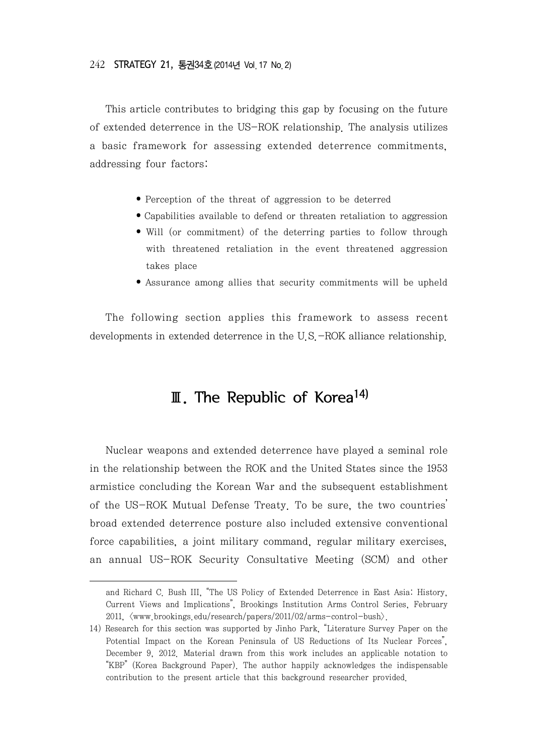This article contributes to bridging this gap by focusing on the future of extended deterrence in the US-ROK relationship. The analysis utilizes a basic framework for assessing extended deterrence commitments, addressing four factors:

- Perception of the threat of aggression to be deterred
- Capabilities available to defend or threaten retaliation to aggression
- Will (or commitment) of the deterring parties to follow through with threatened retaliation in the event threatened aggression takes place
- Assurance among allies that security commitments will be upheld

The following section applies this framework to assess recent developments in extended deterrence in the U.S.-ROK alliance relationship.

# Ⅲ. The Republic of Korea 14)

Nuclear weapons and extended deterrence have played a seminal role in the relationship between the ROK and the United States since the 1953 armistice concluding the Korean War and the subsequent establishment of the US-ROK Mutual Defense Treaty. To be sure, the two countries' broad extended deterrence posture also included extensive conventional force capabilities, a joint military command, regular military exercises, an annual US-ROK Security Consultative Meeting (SCM) and other

and Richard C. Bush III, "The US Policy of Extended Deterrence in East Asia: History, Current Views and Implications", Brookings Institution Arms Control Series, February 2011, <www.brookings.edu/research/papers/2011/02/arms-control-bush>.

<sup>14)</sup> Research for this section was supported by Jinho Park, "Literature Survey Paper on the Potential Impact on the Korean Peninsula of US Reductions of Its Nuclear Forces", December 9, 2012. Material drawn from this work includes an applicable notation to "KBP" (Korea Background Paper). The author happily acknowledges the indispensable contribution to the present article that this background researcher provided.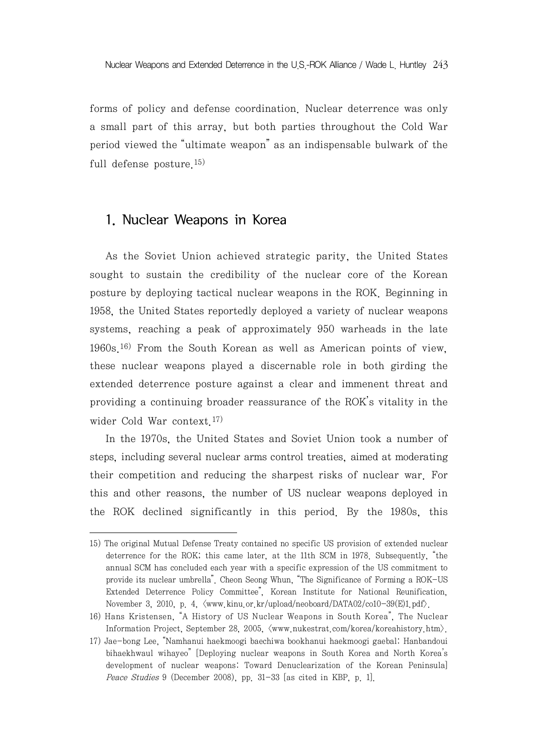forms of policy and defense coordination. Nuclear deterrence was only a small part of this array, but both parties throughout the Cold War period viewed the "ultimate weapon" as an indispensable bulwark of the full defense posture. 15)

#### 1. Nuclear Weapons in Korea

As the Soviet Union achieved strategic parity, the United States sought to sustain the credibility of the nuclear core of the Korean posture by deploying tactical nuclear weapons in the ROK. Beginning in 1958, the United States reportedly deployed a variety of nuclear weapons systems, reaching a peak of approximately 950 warheads in the late 1960s. 16) From the South Korean as well as American points of view, these nuclear weapons played a discernable role in both girding the extended deterrence posture against a clear and immenent threat and providing a continuing broader reassurance of the ROK's vitality in the wider Cold War context. 17)

In the 1970s, the United States and Soviet Union took a number of steps, including several nuclear arms control treaties, aimed at moderating their competition and reducing the sharpest risks of nuclear war. For this and other reasons, the number of US nuclear weapons deployed in the ROK declined significantly in this period. By the 1980s, this

<sup>15)</sup> The original Mutual Defense Treaty contained no specific US provision of extended nuclear deterrence for the ROK; this came later, at the 11th SCM in 1978. Subsequently, "the annual SCM has concluded each year with a specific expression of the US commitment to provide its nuclear umbrella". Cheon Seong Whun, "The Significance of Forming a ROK-US Extended Deterrence Policy Committee", Korean Institute for National Reunification, November 3, 2010, p. 4,  $\langle$ www.kinu.or.kr/upload/neoboard/DATA02/co10-39(E)1.pdf $\rangle$ .

<sup>16)</sup> Hans Kristensen, "A History of US Nuclear Weapons in South Korea", The Nuclear Information Project, September 28, 2005,  $\langle www.nukestrat.com/korea/korea)$ 

<sup>17)</sup> Jae-bong Lee, "Namhanui haekmoogi baechiwa bookhanui haekmoogi gaebal: Hanbandoui bihaekhwaul wihayeo" [Deploying nuclear weapons in South Korea and North Korea's development of nuclear weapons: Toward Denuclearization of the Korean Peninsula] Peace Studies 9 (December 2008), pp. 31-33 [as cited in KBP, p. 1].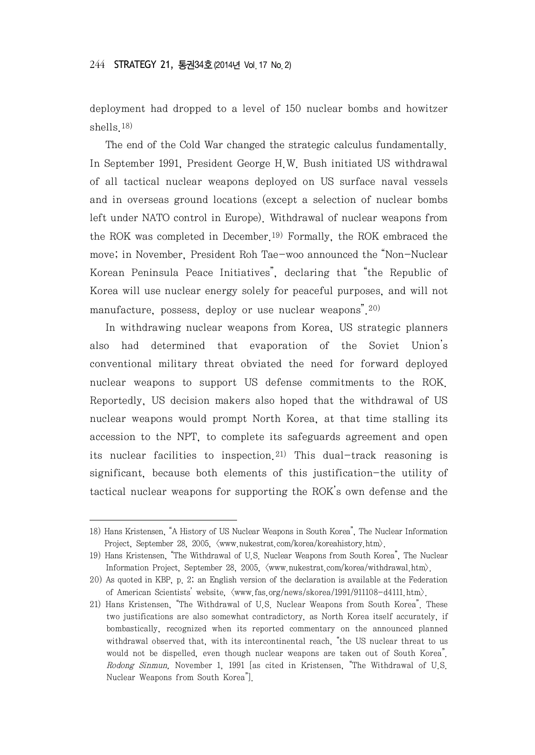deployment had dropped to a level of 150 nuclear bombs and howitzer shells.18)

The end of the Cold War changed the strategic calculus fundamentally. In September 1991, President George H.W. Bush initiated US withdrawal of all tactical nuclear weapons deployed on US surface naval vessels and in overseas ground locations (except a selection of nuclear bombs left under NATO control in Europe). Withdrawal of nuclear weapons from the ROK was completed in December.19) Formally, the ROK embraced the move; in November, President Roh Tae-woo announced the "Non-Nuclear Korean Peninsula Peace Initiatives", declaring that "the Republic of Korea will use nuclear energy solely for peaceful purposes, and will not manufacture, possess, deploy or use nuclear weapons". 20)

In withdrawing nuclear weapons from Korea, US strategic planners also had determined that evaporation of the Soviet Union's conventional military threat obviated the need for forward deployed nuclear weapons to support US defense commitments to the ROK. Reportedly, US decision makers also hoped that the withdrawal of US nuclear weapons would prompt North Korea, at that time stalling its accession to the NPT, to complete its safeguards agreement and open its nuclear facilities to inspection.<sup>21)</sup> This dual-track reasoning is significant, because both elements of this justification-the utility of tactical nuclear weapons for supporting the ROK's own defense and the

<sup>18)</sup> Hans Kristensen, "A History of US Nuclear Weapons in South Korea", The Nuclear Information Project, September 28, 2005,  $\langle$ www.nukestrat.com/korea/koreahistory.htm).

<sup>19)</sup> Hans Kristensen, "The Withdrawal of U.S. Nuclear Weapons from South Korea", The Nuclear Information Project, September 28, 2005,  $\langle$ www.nukestrat.com/korea/withdrawal.htm).

<sup>20)</sup> As quoted in KBP, p. 2; an English version of the declaration is available at the Federation of American Scientists' website,  $\langle$ www.fas.org/news/skorea/1991/911108-d4111.htm).

<sup>21)</sup> Hans Kristensen, "The Withdrawal of U.S. Nuclear Weapons from South Korea". These two justifications are also somewhat contradictory, as North Korea itself accurately, if bombastically, recognized when its reported commentary on the announced planned withdrawal observed that, with its intercontinental reach, "the US nuclear threat to us would not be dispelled, even though nuclear weapons are taken out of South Korea". Rodong Sinmun, November 1, 1991 [as cited in Kristensen, "The Withdrawal of U.S. Nuclear Weapons from South Korea"].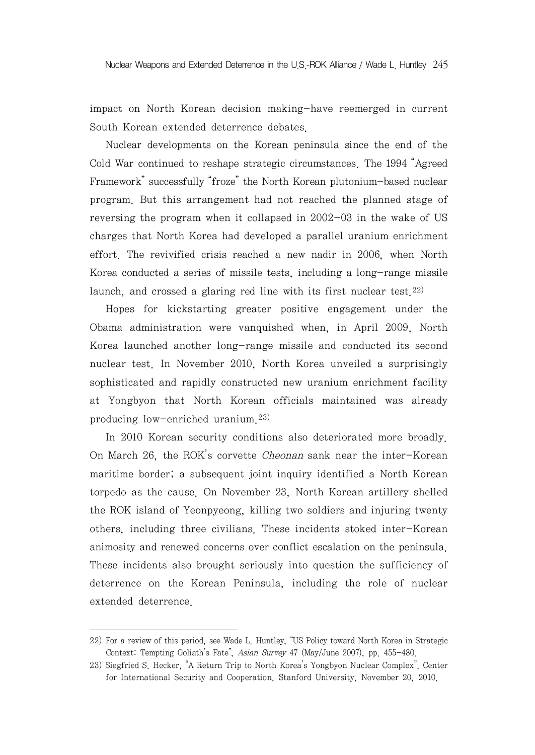impact on North Korean decision making-have reemerged in current South Korean extended deterrence debates.

Nuclear developments on the Korean peninsula since the end of the Cold War continued to reshape strategic circumstances. The 1994 "Agreed Framework" successfully "froze" the North Korean plutonium-based nuclear program. But this arrangement had not reached the planned stage of reversing the program when it collapsed in 2002-03 in the wake of US charges that North Korea had developed a parallel uranium enrichment effort. The revivified crisis reached a new nadir in 2006, when North Korea conducted a series of missile tests, including a long-range missile launch, and crossed a glaring red line with its first nuclear test.<sup>22)</sup>

Hopes for kickstarting greater positive engagement under the Obama administration were vanquished when, in April 2009, North Korea launched another long-range missile and conducted its second nuclear test. In November 2010, North Korea unveiled a surprisingly sophisticated and rapidly constructed new uranium enrichment facility at Yongbyon that North Korean officials maintained was already producing low-enriched uranium. 23)

In 2010 Korean security conditions also deteriorated more broadly. On March 26, the ROK's corvette Cheonan sank near the inter-Korean maritime border; a subsequent joint inquiry identified a North Korean torpedo as the cause. On November 23, North Korean artillery shelled the ROK island of Yeonpyeong, killing two soldiers and injuring twenty others, including three civilians. These incidents stoked inter-Korean animosity and renewed concerns over conflict escalation on the peninsula. These incidents also brought seriously into question the sufficiency of deterrence on the Korean Peninsula, including the role of nuclear extended deterrence.

<sup>22)</sup> For a review of this period, see Wade L. Huntley, "US Policy toward North Korea in Strategic Context: Tempting Goliath's Fate", Asian Survey 47 (May/June 2007), pp. 455-480.

<sup>23)</sup> Siegfried S. Hecker, "A Return Trip to North Korea's Yongbyon Nuclear Complex", Center for International Security and Cooperation, Stanford University, November 20, 2010.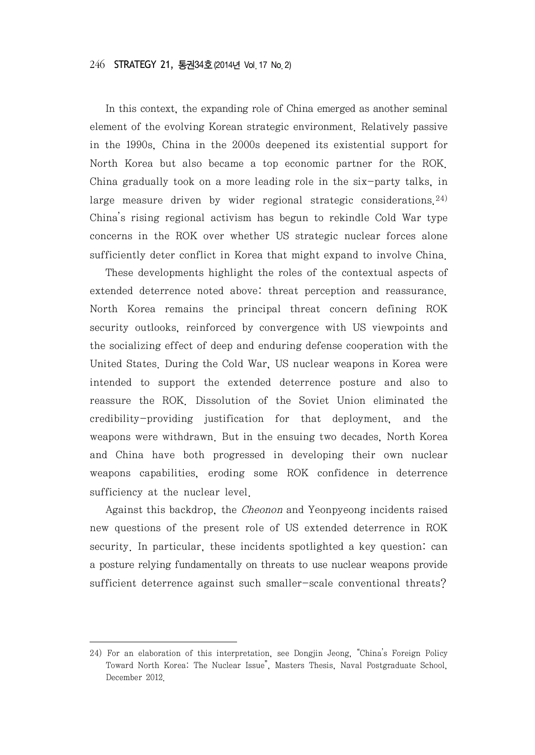In this context, the expanding role of China emerged as another seminal element of the evolving Korean strategic environment. Relatively passive in the 1990s, China in the 2000s deepened its existential support for North Korea but also became a top economic partner for the ROK. China gradually took on a more leading role in the six-party talks, in large measure driven by wider regional strategic considerations. 24) China's rising regional activism has begun to rekindle Cold War type concerns in the ROK over whether US strategic nuclear forces alone sufficiently deter conflict in Korea that might expand to involve China.

These developments highlight the roles of the contextual aspects of extended deterrence noted above: threat perception and reassurance. North Korea remains the principal threat concern defining ROK security outlooks, reinforced by convergence with US viewpoints and the socializing effect of deep and enduring defense cooperation with the United States. During the Cold War, US nuclear weapons in Korea were intended to support the extended deterrence posture and also to reassure the ROK. Dissolution of the Soviet Union eliminated the credibility-providing justification for that deployment, and the weapons were withdrawn. But in the ensuing two decades, North Korea and China have both progressed in developing their own nuclear weapons capabilities, eroding some ROK confidence in deterrence sufficiency at the nuclear level.

Against this backdrop, the Cheonon and Yeonpyeong incidents raised new questions of the present role of US extended deterrence in ROK security. In particular, these incidents spotlighted a key question: can a posture relying fundamentally on threats to use nuclear weapons provide sufficient deterrence against such smaller-scale conventional threats?

<sup>24)</sup> For an elaboration of this interpretation, see Dongjin Jeong, "China's Foreign Policy Toward North Korea: The Nuclear Issue", Masters Thesis, Naval Postgraduate School, December 2012.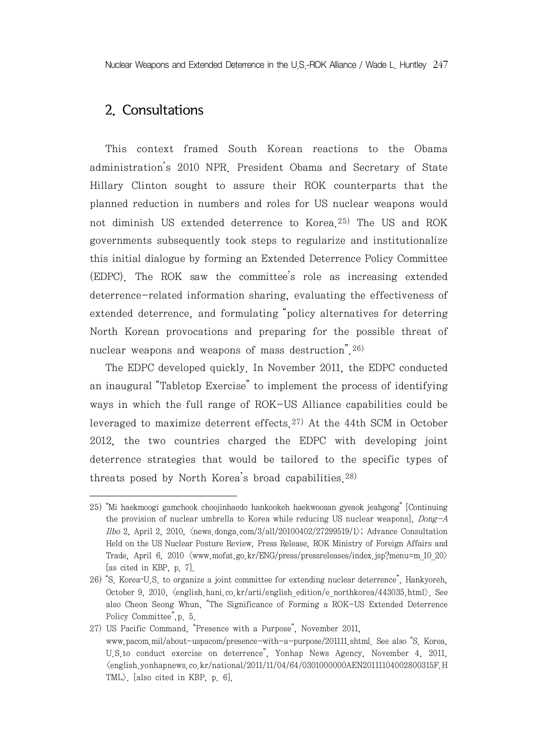Nuclear Weapons and Extended Deterrence in the U.S.-ROK Alliance / Wade L. Huntley 247

## 2. Consultations

This context framed South Korean reactions to the Obama administration's 2010 NPR. President Obama and Secretary of State Hillary Clinton sought to assure their ROK counterparts that the planned reduction in numbers and roles for US nuclear weapons would not diminish US extended deterrence to Korea. 25) The US and ROK governments subsequently took steps to regularize and institutionalize this initial dialogue by forming an Extended Deterrence Policy Committee (EDPC). The ROK saw the committee's role as increasing extended deterrence-related information sharing, evaluating the effectiveness of extended deterrence, and formulating "policy alternatives for deterring North Korean provocations and preparing for the possible threat of nuclear weapons and weapons of mass destruction<sup>"</sup>.<sup>26)</sup>

The EDPC developed quickly. In November 2011, the EDPC conducted an inaugural "Tabletop Exercise" to implement the process of identifying ways in which the full range of ROK-US Alliance capabilities could be leveraged to maximize deterrent effects.27) At the 44th SCM in October 2012, the two countries charged the EDPC with developing joint deterrence strategies that would be tailored to the specific types of threats posed by North Korea's broad capabilities. 28)

<sup>25)</sup> "Mi haekmoogi gamchook choojinhaedo hankookeh haekwoosan gyesok jeahgong" [Continuing the provision of nuclear umbrella to Korea while reducing US nuclear weapons], Dong-A Ilbo 2, April 2, 2010,  $\langle$ news.donga.com/3/all/20100402/27299519/1 $\rangle$ ; Advance Consultation Held on the US Nuclear Posture Review, Press Release, ROK Ministry of Foreign Affairs and Trade, April 6, 2010  $\langle$ www.mofat.go.kr/ENG/press/pressreleases/index.jsp?menu=m 10 20 $\rangle$ [as cited in KBP, p. 7].

<sup>26)</sup> "S. Korea–U.S. to organize a joint committee for extending nuclear deterrence", Hankyoreh, October 9, 2010,  $\langle$ english hani.co.kr/arti/english edition/e\_northkorea/443035.html $\rangle$ . See also Cheon Seong Whun, "The Significance of Forming a ROK-US Extended Deterrence Policy Committee",p. 5.

<sup>27)</sup> US Pacific Command, "Presence with a Purpose", November 2011, www.pacom.mil/about-uspacom/presence-with-a-purpose/201111.shtml. See also "S. Korea, U.S.to conduct exercise on deterrence", Yonhap News Agency, November 4, 2011,  $\langle$ english.yonhapnews.co.kr/national/2011/11/04/64/0301000000AEN20111104002800315F.H TML>. [also cited in KBP, p. 6].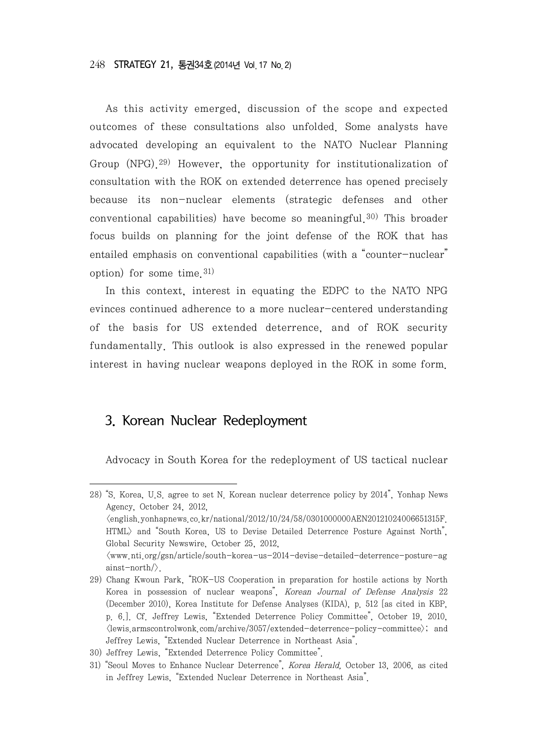As this activity emerged, discussion of the scope and expected outcomes of these consultations also unfolded. Some analysts have advocated developing an equivalent to the NATO Nuclear Planning Group (NPG). 29) However, the opportunity for institutionalization of consultation with the ROK on extended deterrence has opened precisely because its non-nuclear elements (strategic defenses and other conventional capabilities) have become so meaningful. 30) This broader focus builds on planning for the joint defense of the ROK that has entailed emphasis on conventional capabilities (with a "counter-nuclear" option) for some time. 31)

In this context, interest in equating the EDPC to the NATO NPG evinces continued adherence to a more nuclear-centered understanding of the basis for US extended deterrence, and of ROK security fundamentally. This outlook is also expressed in the renewed popular interest in having nuclear weapons deployed in the ROK in some form.

#### 3. Korean Nuclear Redeployment

Advocacy in South Korea for the redeployment of US tactical nuclear

<sup>28)</sup> "S. Korea, U.S. agree to set N. Korean nuclear deterrence policy by 2014", Yonhap News Agency, October 24, 2012,  $\langle$ english.yonhapnews.co.kr/national/2012/10/24/58/0301000000AEN20121024006651315F. HTML> and "South Korea, US to Devise Detailed Deterrence Posture Against North", Global Security Newswire, October 25, 2012,  $\langle$ www.nti.org/gsn/article/south-korea-us-2014-devise-detailed-deterrence-posture-ag ainst-north/>.

<sup>29)</sup> Chang Kwoun Park, "ROK-US Cooperation in preparation for hostile actions by North Korea in possession of nuclear weapons", Korean Journal of Defense Analysis 22 (December 2010), Korea Institute for Defense Analyses (KIDA), p. 512 [as cited in KBP, p. 6.]. Cf. Jeffrey Lewis, "Extended Deterrence Policy Committee", October 19, 2010,  $\langle$ lewis.armscontrolwonk.com/archive/3057/extended-deterrence-policy-committee $\rangle$ ; and Jeffrey Lewis, "Extended Nuclear Deterrence in Northeast Asia".

<sup>30)</sup> Jeffrey Lewis, "Extended Deterrence Policy Committee".

<sup>31)</sup> "Seoul Moves to Enhance Nuclear Deterrence", Korea Herald, October 13, 2006, as cited in Jeffrey Lewis, "Extended Nuclear Deterrence in Northeast Asia".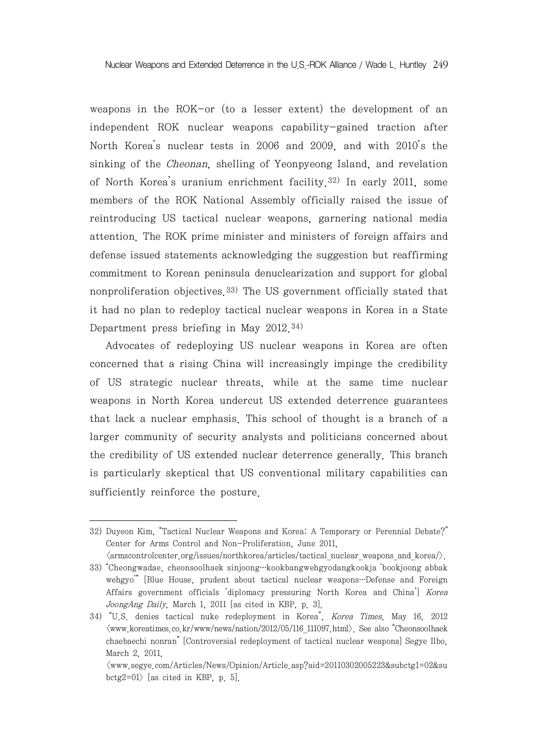weapons in the ROK-or (to a lesser extent) the development of an independent ROK nuclear weapons capability-gained traction after North Korea's nuclear tests in 2006 and 2009, and with 2010's the sinking of the Cheonan, shelling of Yeonpyeong Island, and revelation of North Korea's uranium enrichment facility.32) In early 2011, some members of the ROK National Assembly officially raised the issue of reintroducing US tactical nuclear weapons, garnering national media attention. The ROK prime minister and ministers of foreign affairs and defense issued statements acknowledging the suggestion but reaffirming commitment to Korean peninsula denuclearization and support for global nonproliferation objectives.33) The US government officially stated that it had no plan to redeploy tactical nuclear weapons in Korea in a State Department press briefing in May 2012. 34)

Advocates of redeploying US nuclear weapons in Korea are often concerned that a rising China will increasingly impinge the credibility of US strategic nuclear threats, while at the same time nuclear weapons in North Korea undercut US extended deterrence guarantees that lack a nuclear emphasis. This school of thought is a branch of a larger community of security analysts and politicians concerned about the credibility of US extended nuclear deterrence generally. This branch is particularly skeptical that US conventional military capabilities can sufficiently reinforce the posture.

 $\langle$ armscontrolcenter.org/issues/northkorea/articles/tactical nuclear weapons and korea/ $\rangle$ .

<sup>32)</sup> Duyeon Kim, "Tactical Nuclear Weapons and Korea: A Temporary or Perennial Debate?" Center for Arms Control and Non-Proliferation, June 2011,

<sup>33)</sup> "Cheongwadae, cheonsoolhaek sinjoong…kookbangwehgyodangkookja 'bookjoong abbak wehgyo'" [Blue House, prudent about tactical nuclear weapons…Defense and Foreign Affairs government officials 'diplomacy pressuring North Korea and China'] Korea JoongAng Daily, March 1, 2011 [as cited in KBP, p. 3].

<sup>34)</sup> "U.S. denies tactical nuke redeployment in Korea", Korea Times, May 16, 2012  $\langle$ www.koreatimes.co.kr/www/news/nation/2012/05/116 111097.html $\rangle$ . See also "Cheonsoolhaek chaebaechi nonran" [Controversial redeployment of tactical nuclear weapons] Segye Ilbo, March 2, 2011,

<sup>&</sup>lt;www.segye.com/Articles/News/Opinion/Article.asp?aid=20110302005223&subctg1=02&su bctg2=01 $\rangle$  [as cited in KBP, p. 5].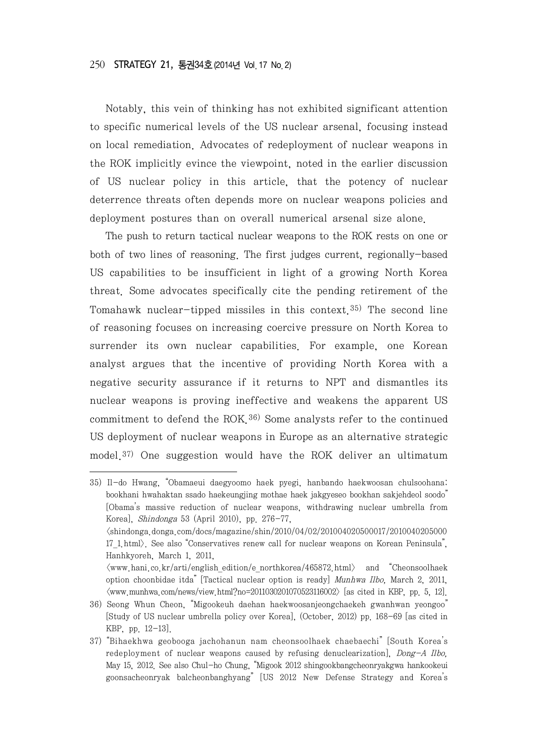Notably, this vein of thinking has not exhibited significant attention to specific numerical levels of the US nuclear arsenal, focusing instead on local remediation. Advocates of redeployment of nuclear weapons in the ROK implicitly evince the viewpoint, noted in the earlier discussion of US nuclear policy in this article, that the potency of nuclear deterrence threats often depends more on nuclear weapons policies and deployment postures than on overall numerical arsenal size alone.

The push to return tactical nuclear weapons to the ROK rests on one or both of two lines of reasoning. The first judges current, regionally-based US capabilities to be insufficient in light of a growing North Korea threat. Some advocates specifically cite the pending retirement of the Tomahawk nuclear-tipped missiles in this context. 35) The second line of reasoning focuses on increasing coercive pressure on North Korea to surrender its own nuclear capabilities. For example, one Korean analyst argues that the incentive of providing North Korea with a negative security assurance if it returns to NPT and dismantles its nuclear weapons is proving ineffective and weakens the apparent US commitment to defend the ROK. 36) Some analysts refer to the continued US deployment of nuclear weapons in Europe as an alternative strategic model.37) One suggestion would have the ROK deliver an ultimatum

<sup>35)</sup> Il-do Hwang, "Obamaeui daegyoomo haek pyegi, hanbando haekwoosan chulsoohana: bookhani hwahaktan ssado haekeungjing mothae haek jakgyeseo bookhan sakjehdeol soodo" [Obama's massive reduction of nuclear weapons, withdrawing nuclear umbrella from Korea], Shindonga 53 (April 2010), pp. 276-77, <shindonga.donga.com/docs/magazine/shin/2010/04/02/201004020500017/2010040205000 17\_1.html>. See also "Conservatives renew call for nuclear weapons on Korean Peninsula", Hanhkyoreh, March 1, 2011,  $\langle$ www.hani.co.kr/arti/english\_edition/e\_northkorea/465872.html> and "Cheonsoolhaek option choonbidae itda" [Tactical nuclear option is ready] Munhwa Ilbo, March 2, 2011,  $\langle$ www.munhwa.com/news/view.html?no=2011030201070523116002 $\rangle$  [as cited in KBP, pp. 5, 12].

<sup>36)</sup> Seong Whun Cheon, "Migookeuh daehan haekwoosanjeongchaekeh gwanhwan yeongoo" [Study of US nuclear umbrella policy over Korea], (October, 2012) pp. 168-69 [as cited in KBP, pp. 12-13].

<sup>37)</sup> "Bihaekhwa geobooga jachohanun nam cheonsoolhaek chaebaechi" [South Korea's redeployment of nuclear weapons caused by refusing denuclearization], Dong-A Ilbo, May 15, 2012. See also Chul-ho Chung, "Migook 2012 shingookbangcheonryakgwa hankookeui goonsacheonryak balcheonbanghyang" [US 2012 New Defense Strategy and Korea's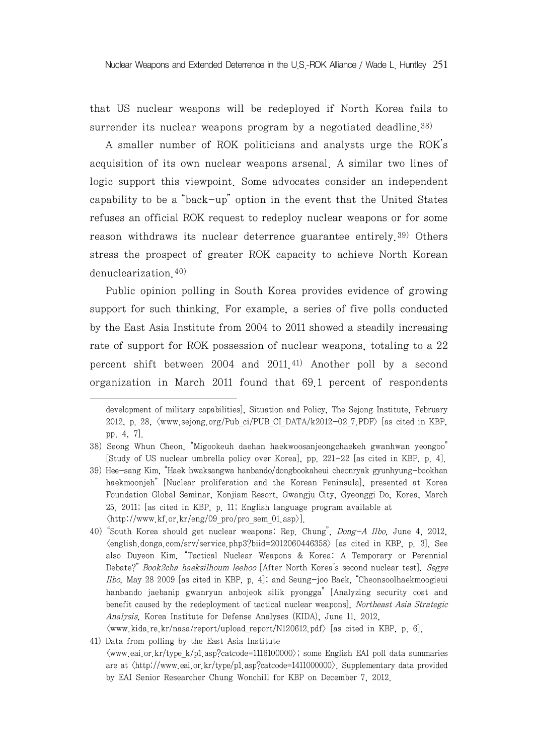that US nuclear weapons will be redeployed if North Korea fails to surrender its nuclear weapons program by a negotiated deadline.<sup>38)</sup>

A smaller number of ROK politicians and analysts urge the ROK's acquisition of its own nuclear weapons arsenal. A similar two lines of logic support this viewpoint. Some advocates consider an independent capability to be a "back-up" option in the event that the United States refuses an official ROK request to redeploy nuclear weapons or for some reason withdraws its nuclear deterrence guarantee entirely.<sup>39)</sup> Others stress the prospect of greater ROK capacity to achieve North Korean denuclearization.40)

Public opinion polling in South Korea provides evidence of growing support for such thinking. For example, a series of five polls conducted by the East Asia Institute from 2004 to 2011 showed a steadily increasing rate of support for ROK possession of nuclear weapons, totaling to a 22 percent shift between 2004 and 2011.<sup>41)</sup> Another poll by a second organization in March 2011 found that 69.1 percent of respondents

development of military capabilities], Situation and Policy, The Sejong Institute, February 2012, p. 28,  $\langle$ www.sejong.org/Pub ci/PUB CI DATA/k2012-02 7.PDF $\rangle$  [as cited in KBP, pp. 4, 7].

<sup>38)</sup> Seong Whun Cheon, "Migookeuh daehan haekwoosanjeongchaekeh gwanhwan yeongoo" [Study of US nuclear umbrella policy over Korea], pp. 221-22 [as cited in KBP, p. 4].

<sup>39)</sup> Hee-sang Kim, "Haek hwaksangwa hanbando/dongbookaheui cheonryak gyunhyung-bookhan haekmoonjeh" [Nuclear proliferation and the Korean Peninsula], presented at Korea Foundation Global Seminar, Konjiam Resort, Gwangju City, Gyeonggi Do, Korea, March 25, 2011; [as cited in KBP, p. 11; English language program available at  $\langle$ http://www.kf.or.kr/eng/09 pro/pro\_sem\_01.asp $\rangle$ ].

<sup>40)</sup> "South Korea should get nuclear weapons: Rep. Chung", Dong-A Ilbo, June 4, 2012,  $\langle$ english.donga.com/srv/service.php3?biid=2012060446358 $\rangle$  [as cited in KBP, p. 3]. See also Duyeon Kim, "Tactical Nuclear Weapons & Korea: A Temporary or Perennial Debate?" Book2cha haeksilhoum leehoo [After North Korea's second nuclear test], Segye Ilbo, May 28 2009 [as cited in KBP, p. 4]; and Seung-joo Baek, "Cheonsoolhaekmoogieui hanbando jaebanip gwanryun anbojeok silik pyongga" [Analyzing security cost and benefit caused by the redeployment of tactical nuclear weapons], Northeast Asia Strategic Analysis, Korea Institute for Defense Analyses (KIDA), June 11, 2012,  $\langle$ www.kida.re.kr/nasa/report/upload report/N120612.pdf> [as cited in KBP, p. 6].

<sup>41)</sup> Data from polling by the East Asia Institute  $\langle$ www.eai.or.kr/type k/p1.asp?catcode=1116100000 $\rangle$ ; some English EAI poll data summaries are at <http://www.eai.or.kr/type/p1.asp?catcode=1411000000>. Supplementary data provided by EAI Senior Researcher Chung Wonchill for KBP on December 7, 2012.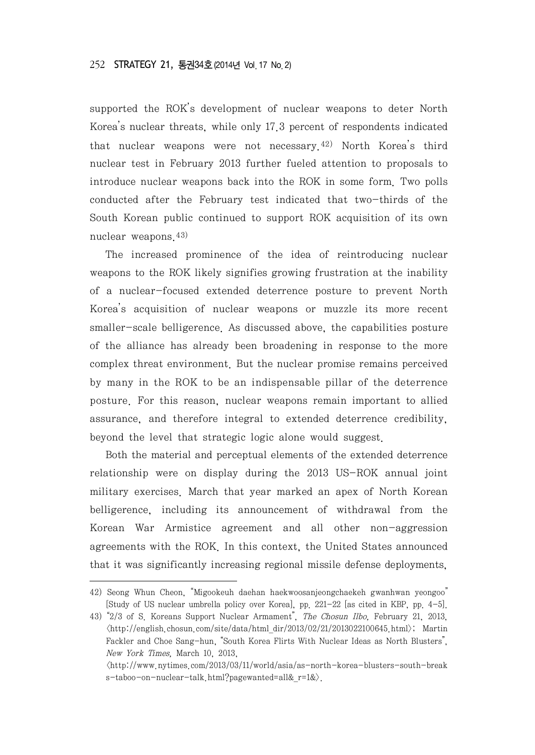supported the ROK's development of nuclear weapons to deter North Korea's nuclear threats, while only 17.3 percent of respondents indicated that nuclear weapons were not necessary.42) North Korea's third nuclear test in February 2013 further fueled attention to proposals to introduce nuclear weapons back into the ROK in some form. Two polls conducted after the February test indicated that two-thirds of the South Korean public continued to support ROK acquisition of its own nuclear weapons.43)

The increased prominence of the idea of reintroducing nuclear weapons to the ROK likely signifies growing frustration at the inability of a nuclear-focused extended deterrence posture to prevent North Korea's acquisition of nuclear weapons or muzzle its more recent smaller-scale belligerence. As discussed above, the capabilities posture of the alliance has already been broadening in response to the more complex threat environment. But the nuclear promise remains perceived by many in the ROK to be an indispensable pillar of the deterrence posture. For this reason, nuclear weapons remain important to allied assurance, and therefore integral to extended deterrence credibility, beyond the level that strategic logic alone would suggest.

Both the material and perceptual elements of the extended deterrence relationship were on display during the 2013 US-ROK annual joint military exercises. March that year marked an apex of North Korean belligerence, including its announcement of withdrawal from the Korean War Armistice agreement and all other non-aggression agreements with the ROK. In this context, the United States announced that it was significantly increasing regional missile defense deployments,

43) "2/3 of S. Koreans Support Nuclear Armament", The Chosun Ilbo, February 21, 2013,  $\langle$ http://english.chosun.com/site/data/html dir/2013/02/21/2013022100645.html $\rangle$ ; Martin Fackler and Choe Sang-hun, "South Korea Flirts With Nuclear Ideas as North Blusters", New York Times, March 10, 2013,

<sup>42)</sup> Seong Whun Cheon, "Migookeuh daehan haekwoosanjeongchaekeh gwanhwan yeongoo" [Study of US nuclear umbrella policy over Korea], pp. 221-22 [as cited in KBP, pp. 4-5].

 $\langle$ http://www.nytimes.com/2013/03/11/world/asia/as-north-korea-blusters-south-break s-taboo-on-nuclear-talk.html?pagewanted=all&\_r=1&>.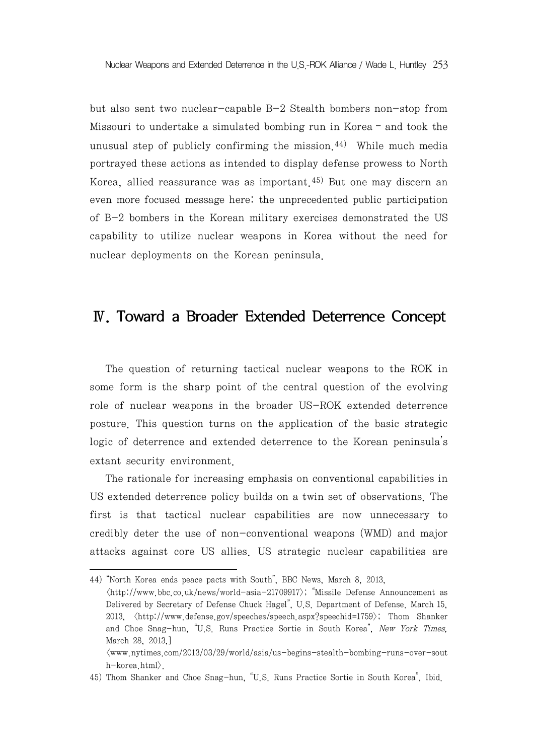but also sent two nuclear-capable B-2 Stealth bombers non-stop from Missouri to undertake a simulated bombing run in Korea – and took the unusual step of publicly confirming the mission. $44$ ) While much media portrayed these actions as intended to display defense prowess to North Korea, allied reassurance was as important.<sup>45)</sup> But one may discern an even more focused message here: the unprecedented public participation of B-2 bombers in the Korean military exercises demonstrated the US capability to utilize nuclear weapons in Korea without the need for nuclear deployments on the Korean peninsula.

## Ⅳ. Toward a Broader Extended Deterrence Concept

The question of returning tactical nuclear weapons to the ROK in some form is the sharp point of the central question of the evolving role of nuclear weapons in the broader US-ROK extended deterrence posture. This question turns on the application of the basic strategic logic of deterrence and extended deterrence to the Korean peninsula's extant security environment.

The rationale for increasing emphasis on conventional capabilities in US extended deterrence policy builds on a twin set of observations. The first is that tactical nuclear capabilities are now unnecessary to credibly deter the use of non-conventional weapons (WMD) and major attacks against core US allies. US strategic nuclear capabilities are

<sup>44)</sup> "North Korea ends peace pacts with South", BBC News, March 8, 2013,  $\langle$ http://www.bbc.co.uk/news/world-asia-21709917 $\rangle$ ; "Missile Defense Announcement as Delivered by Secretary of Defense Chuck Hagel", U.S. Department of Defense. March 15, 2013,  $\langle$ http://www.defense.gov/speeches/speech.aspx?speechid=1759>; Thom Shanker and Choe Snag-hun, "U.S. Runs Practice Sortie in South Korea", New York Times, March 28, 2013,] <www.nytimes.com/2013/03/29/world/asia/us-begins-stealth-bombing-runs-over-sout h-korea.html>.

<sup>45)</sup> Thom Shanker and Choe Snag-hun, "U.S. Runs Practice Sortie in South Korea", Ibid.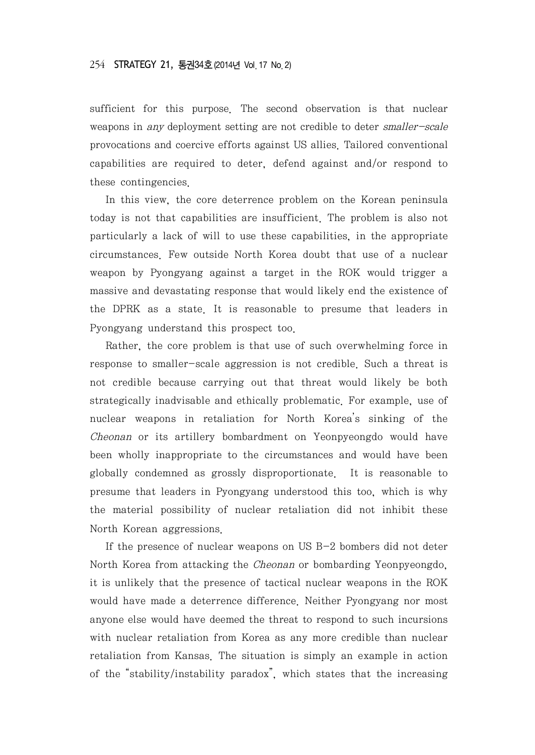sufficient for this purpose. The second observation is that nuclear weapons in any deployment setting are not credible to deter smaller-scale provocations and coercive efforts against US allies. Tailored conventional capabilities are required to deter, defend against and/or respond to these contingencies.

In this view, the core deterrence problem on the Korean peninsula today is not that capabilities are insufficient. The problem is also not particularly a lack of will to use these capabilities, in the appropriate circumstances. Few outside North Korea doubt that use of a nuclear weapon by Pyongyang against a target in the ROK would trigger a massive and devastating response that would likely end the existence of the DPRK as a state. It is reasonable to presume that leaders in Pyongyang understand this prospect too.

Rather, the core problem is that use of such overwhelming force in response to smaller-scale aggression is not credible. Such a threat is not credible because carrying out that threat would likely be both strategically inadvisable and ethically problematic. For example, use of nuclear weapons in retaliation for North Korea's sinking of the Cheonan or its artillery bombardment on Yeonpyeongdo would have been wholly inappropriate to the circumstances and would have been globally condemned as grossly disproportionate. It is reasonable to presume that leaders in Pyongyang understood this too, which is why the material possibility of nuclear retaliation did not inhibit these North Korean aggressions.

If the presence of nuclear weapons on US B-2 bombers did not deter North Korea from attacking the Cheonan or bombarding Yeonpyeongdo, it is unlikely that the presence of tactical nuclear weapons in the ROK would have made a deterrence difference. Neither Pyongyang nor most anyone else would have deemed the threat to respond to such incursions with nuclear retaliation from Korea as any more credible than nuclear retaliation from Kansas. The situation is simply an example in action of the "stability/instability paradox", which states that the increasing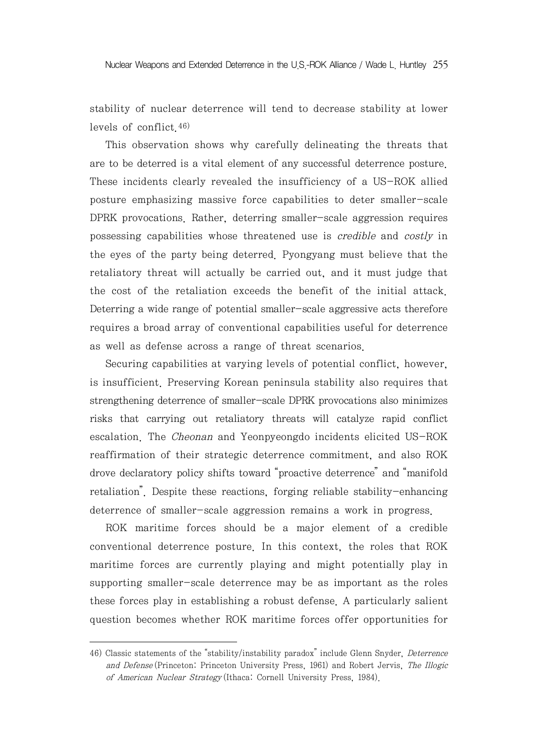stability of nuclear deterrence will tend to decrease stability at lower levels of conflict.46)

This observation shows why carefully delineating the threats that are to be deterred is a vital element of any successful deterrence posture. These incidents clearly revealed the insufficiency of a US-ROK allied posture emphasizing massive force capabilities to deter smaller-scale DPRK provocations. Rather, deterring smaller-scale aggression requires possessing capabilities whose threatened use is credible and costly in the eyes of the party being deterred. Pyongyang must believe that the retaliatory threat will actually be carried out, and it must judge that the cost of the retaliation exceeds the benefit of the initial attack. Deterring a wide range of potential smaller-scale aggressive acts therefore requires a broad array of conventional capabilities useful for deterrence as well as defense across a range of threat scenarios.

Securing capabilities at varying levels of potential conflict, however, is insufficient. Preserving Korean peninsula stability also requires that strengthening deterrence of smaller-scale DPRK provocations also minimizes risks that carrying out retaliatory threats will catalyze rapid conflict escalation. The Cheonan and Yeonpyeongdo incidents elicited US-ROK reaffirmation of their strategic deterrence commitment, and also ROK drove declaratory policy shifts toward "proactive deterrence" and "manifold retaliation". Despite these reactions, forging reliable stability-enhancing deterrence of smaller-scale aggression remains a work in progress.

ROK maritime forces should be a major element of a credible conventional deterrence posture. In this context, the roles that ROK maritime forces are currently playing and might potentially play in supporting smaller-scale deterrence may be as important as the roles these forces play in establishing a robust defense. A particularly salient question becomes whether ROK maritime forces offer opportunities for

<sup>46)</sup> Classic statements of the "stability/instability paradox" include Glenn Snyder, Deterrence and Defense (Princeton: Princeton University Press, 1961) and Robert Jervis, The Illogic of American Nuclear Strategy (Ithaca: Cornell University Press, 1984).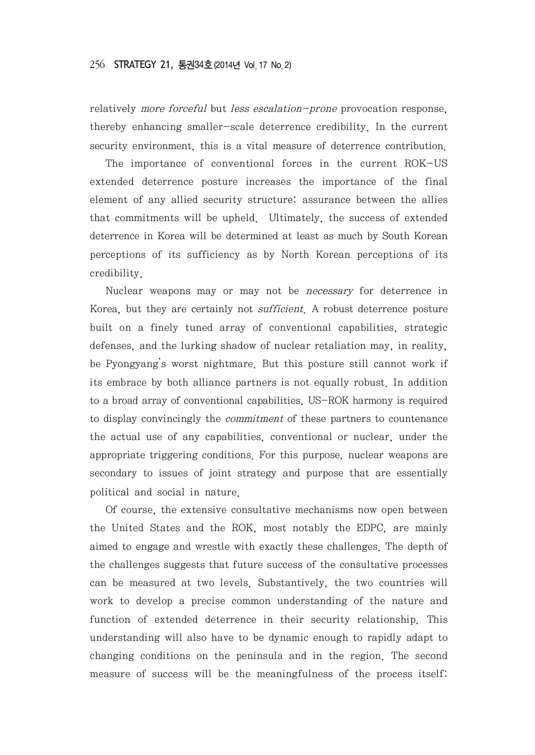relatively *more forceful* but *less escalation-prone* provocation response, thereby enhancing smaller-scale deterrence credibility. In the current security environment, this is a vital measure of deterrence contribution.

The importance of conventional forces in the current ROK-US extended deterrence posture increases the importance of the final element of any allied security structure: assurance between the allies that commitments will be upheld. Ultimately, the success of extended deterrence in Korea will be determined at least as much by South Korean perceptions of its sufficiency as by North Korean perceptions of its credibility.

Nuclear weapons may or may not be necessary for deterrence in Korea, but they are certainly not *sufficient*. A robust deterrence posture built on a finely tuned array of conventional capabilities, strategic defenses, and the lurking shadow of nuclear retaliation may, in reality, be Pyongyang's worst nightmare. But this posture still cannot work if its embrace by both alliance partners is not equally robust. In addition to a broad array of conventional capabilities, US-ROK harmony is required to display convincingly the commitment of these partners to countenance the actual use of any capabilities, conventional or nuclear, under the appropriate triggering conditions. For this purpose, nuclear weapons are secondary to issues of joint strategy and purpose that are essentially political and social in nature.

Of course, the extensive consultative mechanisms now open between the United States and the ROK, most notably the EDPC, are mainly aimed to engage and wrestle with exactly these challenges. The depth of the challenges suggests that future success of the consultative processes can be measured at two levels. Substantively, the two countries will work to develop a precise common understanding of the nature and function of extended deterrence in their security relationship. This understanding will also have to be dynamic enough to rapidly adapt to changing conditions on the peninsula and in the region. The second measure of success will be the meaningfulness of the process itself: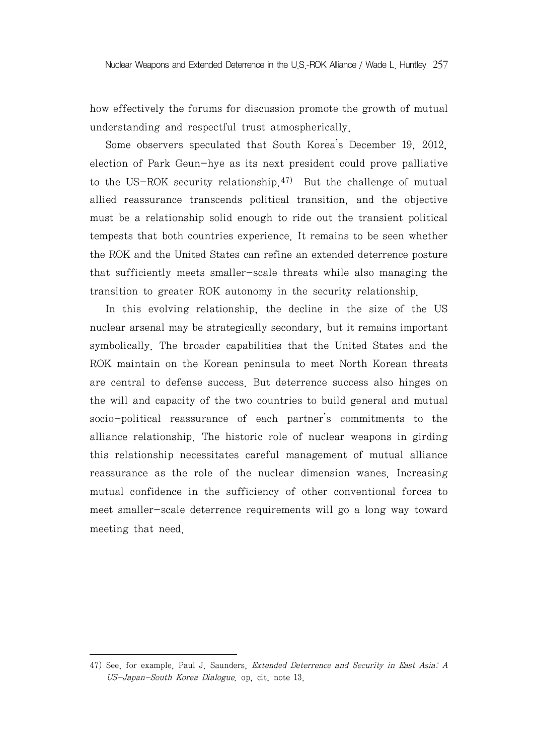Nuclear Weapons and Extended Deterrence in the U.S.-ROK Alliance / Wade L. Huntley 257

how effectively the forums for discussion promote the growth of mutual understanding and respectful trust atmospherically.

Some observers speculated that South Korea's December 19, 2012, election of Park Geun-hye as its next president could prove palliative to the US-ROK security relationship.<sup>47)</sup> But the challenge of mutual allied reassurance transcends political transition, and the objective must be a relationship solid enough to ride out the transient political tempests that both countries experience. It remains to be seen whether the ROK and the United States can refine an extended deterrence posture that sufficiently meets smaller-scale threats while also managing the transition to greater ROK autonomy in the security relationship.

In this evolving relationship, the decline in the size of the US nuclear arsenal may be strategically secondary, but it remains important symbolically. The broader capabilities that the United States and the ROK maintain on the Korean peninsula to meet North Korean threats are central to defense success. But deterrence success also hinges on the will and capacity of the two countries to build general and mutual socio-political reassurance of each partner's commitments to the alliance relationship. The historic role of nuclear weapons in girding this relationship necessitates careful management of mutual alliance reassurance as the role of the nuclear dimension wanes. Increasing mutual confidence in the sufficiency of other conventional forces to meet smaller-scale deterrence requirements will go a long way toward meeting that need.

<sup>47)</sup> See, for example, Paul J. Saunders, Extended Deterrence and Security in East Asia: A US-Japan-South Korea Dialogue. op, cit, note 13.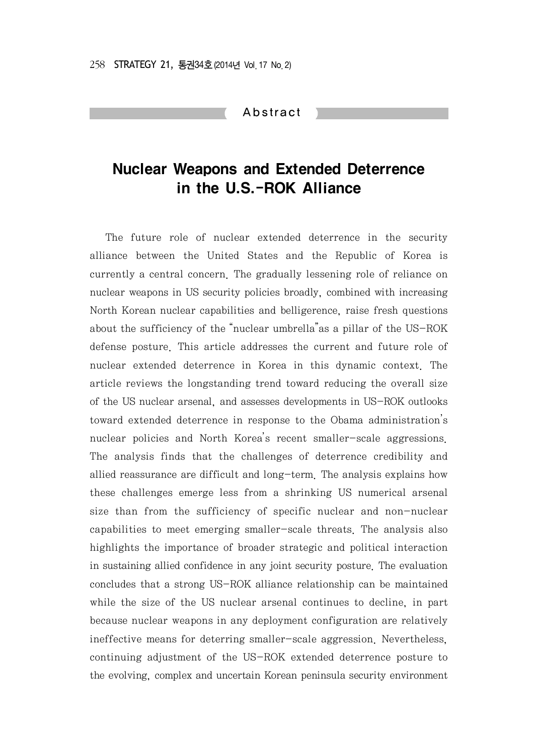#### Abstract

# Nuclear Weapons and Extended Deterrence in the U.S.-ROK Alliance

The future role of nuclear extended deterrence in the security alliance between the United States and the Republic of Korea is currently a central concern. The gradually lessening role of reliance on nuclear weapons in US security policies broadly, combined with increasing North Korean nuclear capabilities and belligerence, raise fresh questions about the sufficiency of the "nuclear umbrella"as a pillar of the US-ROK defense posture. This article addresses the current and future role of nuclear extended deterrence in Korea in this dynamic context. The article reviews the longstanding trend toward reducing the overall size of the US nuclear arsenal, and assesses developments in US-ROK outlooks toward extended deterrence in response to the Obama administration's nuclear policies and North Korea's recent smaller-scale aggressions. The analysis finds that the challenges of deterrence credibility and allied reassurance are difficult and long-term. The analysis explains how these challenges emerge less from a shrinking US numerical arsenal size than from the sufficiency of specific nuclear and non-nuclear capabilities to meet emerging smaller-scale threats. The analysis also highlights the importance of broader strategic and political interaction in sustaining allied confidence in any joint security posture. The evaluation concludes that a strong US-ROK alliance relationship can be maintained while the size of the US nuclear arsenal continues to decline, in part because nuclear weapons in any deployment configuration are relatively ineffective means for deterring smaller-scale aggression. Nevertheless, continuing adjustment of the US-ROK extended deterrence posture to the evolving, complex and uncertain Korean peninsula security environment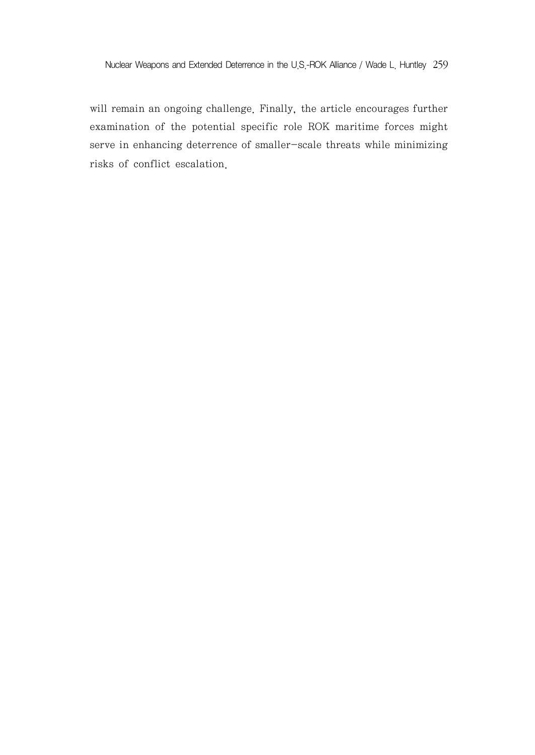will remain an ongoing challenge. Finally, the article encourages further examination of the potential specific role ROK maritime forces might serve in enhancing deterrence of smaller-scale threats while minimizing risks of conflict escalation.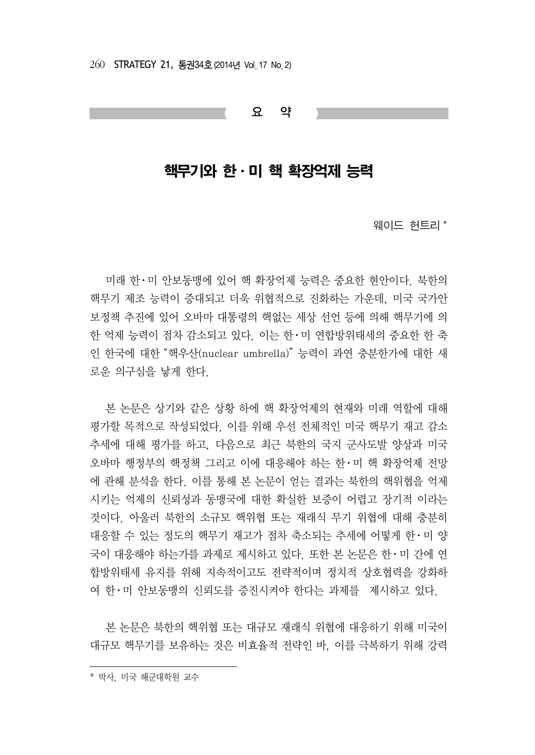260 STRATEGY 21, 통권34호(2014년 Vol. 17 No. 2)

요 약

## 핵무기와 한·미 핵 확장억제 능력

웨이드 헌트리 $*$ 

미래 한ㆍ미 안보동맹에 있어 핵 확장억제 능력은 중요한 현안이다. 북한의 핵무기 제조 능력이 증대되고 더욱 위협적으로 진화하는 가운데, 미국 국가안 보정책 추진에 있어 오바마 대통령의 핵없는 세상 선언 등에 의해 핵무기에 의 한 억제 능력이 점차 감소되고 있다. 이는 한ㆍ미 연합방위태세의 중요한 한 축 인 한국에 대한 "핵우산(nuclear umbrella)" 능력이 과연 충분한가에 대한 새 로운 의구심을 낳게 한다.

본 논문은 상기와 같은 상황 하에 핵 확장억제의 현재와 미래 역할에 대해 평가할 목적으로 작성되었다. 이를 위해 우선 전체적인 미국 핵무기 재고 감소 추세에 대해 평가를 하고, 다음으로 최근 북한의 국지 군사도발 양상과 미국 오바마 행정부의 핵정책 그리고 이에 대응해야 하는 한ㆍ미 핵 확장억제 전망 에 관해 분석을 한다. 이를 통해 본 논문이 얻는 결과는 북한의 핵위협을 억제 시키는 억제의 신뢰성과 동맹국에 대한 확실한 보증이 어렵고 장기적 이라는 것이다. 아울러 북한의 소규모 핵위협 또는 재래식 무기 위협에 대해 충분히 대응할 수 있는 정도의 핵무기 재고가 점차 축소되는 추세에 어떻게 한ㆍ미 양 국이 대응해야 하는가를 과제로 제시하고 있다. 또한 본 논문은 한ㆍ미 간에 연 합방위태세 유지를 위해 지속적이고도 전략적이며 정치적 상호협력을 강화하 여 한ㆍ미 안보동맹의 신뢰도를 증진시켜야 한다는 과제를 제시하고 있다.

본 논문은 북한의 핵위협 또는 대규모 재래식 위협에 대응하기 위해 미국이 대규모 핵무기를 보유하는 것은 비효율적 전략인 바, 이를 극복하기 위해 강력

<sup>\*</sup> 박사, 미국 해군대학원 교수